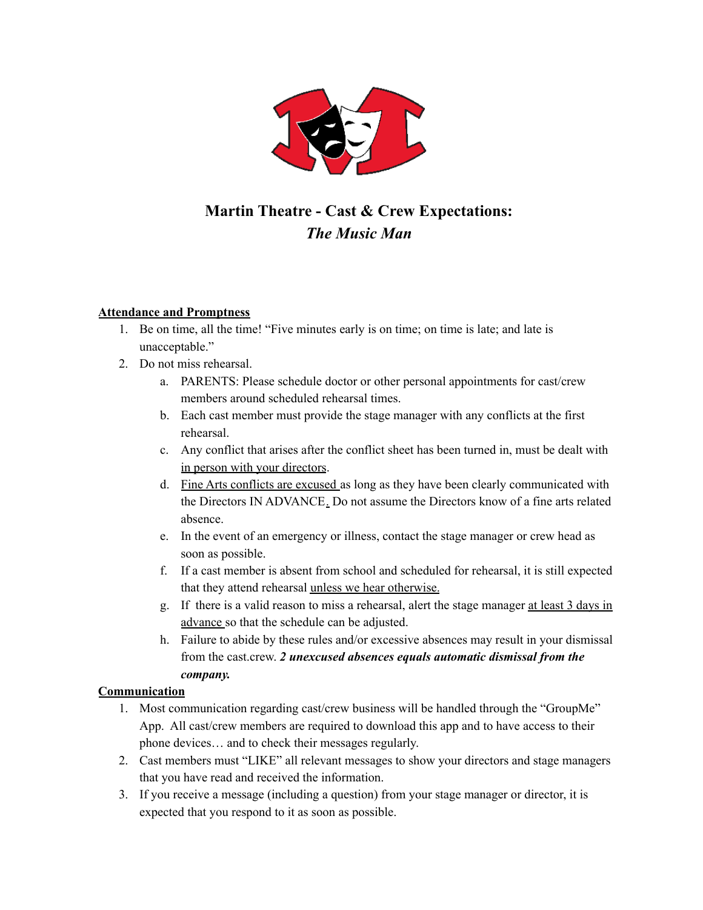

### **Martin Theatre - Cast & Crew Expectations:** *The Music Man*

#### **Attendance and Promptness**

- 1. Be on time, all the time! "Five minutes early is on time; on time is late; and late is unacceptable."
- 2. Do not miss rehearsal.
	- a. PARENTS: Please schedule doctor or other personal appointments for cast/crew members around scheduled rehearsal times.
	- b. Each cast member must provide the stage manager with any conflicts at the first rehearsal.
	- c. Any conflict that arises after the conflict sheet has been turned in, must be dealt with in person with your directors.
	- d. Fine Arts conflicts are excused as long as they have been clearly communicated with the Directors IN ADVANCE. Do not assume the Directors know of a fine arts related absence.
	- e. In the event of an emergency or illness, contact the stage manager or crew head as soon as possible.
	- f. If a cast member is absent from school and scheduled for rehearsal, it is still expected that they attend rehearsal unless we hear otherwise.
	- g. If there is a valid reason to miss a rehearsal, alert the stage manager at least 3 days in advance so that the schedule can be adjusted.
	- h. Failure to abide by these rules and/or excessive absences may result in your dismissal from the cast.crew. *2 unexcused absences equals automatic dismissal from the company.*

#### **Communication**

- 1. Most communication regarding cast/crew business will be handled through the "GroupMe" App. All cast/crew members are required to download this app and to have access to their phone devices… and to check their messages regularly.
- 2. Cast members must "LIKE" all relevant messages to show your directors and stage managers that you have read and received the information.
- 3. If you receive a message (including a question) from your stage manager or director, it is expected that you respond to it as soon as possible.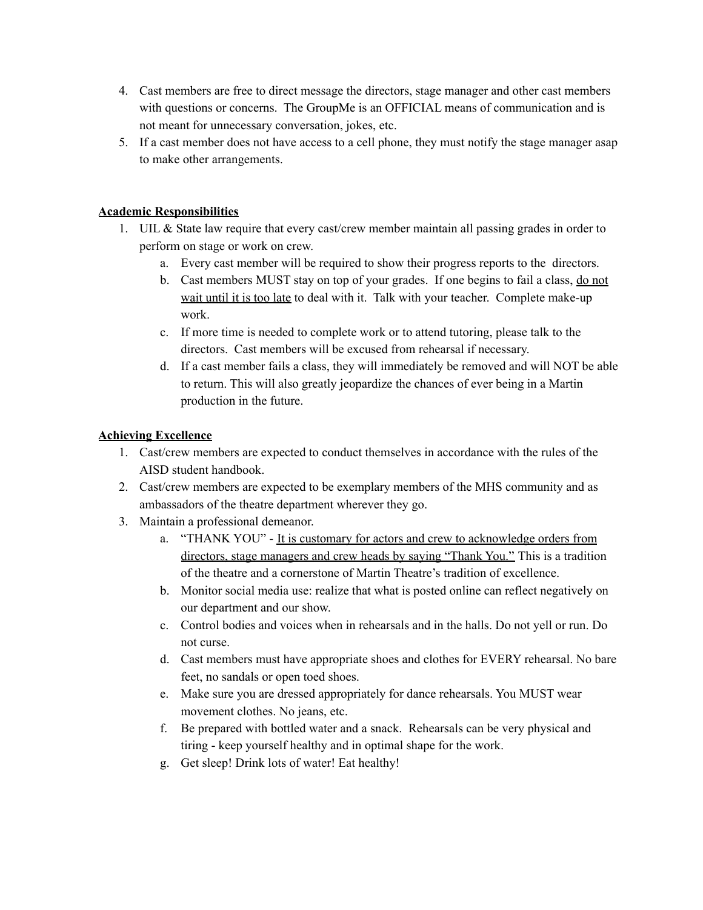- 4. Cast members are free to direct message the directors, stage manager and other cast members with questions or concerns. The GroupMe is an OFFICIAL means of communication and is not meant for unnecessary conversation, jokes, etc.
- 5. If a cast member does not have access to a cell phone, they must notify the stage manager asap to make other arrangements.

#### **Academic Responsibilities**

- 1. UIL  $&$  State law require that every cast/crew member maintain all passing grades in order to perform on stage or work on crew.
	- a. Every cast member will be required to show their progress reports to the directors.
	- b. Cast members MUST stay on top of your grades. If one begins to fail a class, do not wait until it is too late to deal with it. Talk with your teacher. Complete make-up work.
	- c. If more time is needed to complete work or to attend tutoring, please talk to the directors. Cast members will be excused from rehearsal if necessary.
	- d. If a cast member fails a class, they will immediately be removed and will NOT be able to return. This will also greatly jeopardize the chances of ever being in a Martin production in the future.

#### **Achieving Excellence**

- 1. Cast/crew members are expected to conduct themselves in accordance with the rules of the AISD student handbook.
- 2. Cast/crew members are expected to be exemplary members of the MHS community and as ambassadors of the theatre department wherever they go.
- 3. Maintain a professional demeanor.
	- a. "THANK YOU" It is customary for actors and crew to acknowledge orders from directors, stage managers and crew heads by saying "Thank You." This is a tradition of the theatre and a cornerstone of Martin Theatre's tradition of excellence.
	- b. Monitor social media use: realize that what is posted online can reflect negatively on our department and our show.
	- c. Control bodies and voices when in rehearsals and in the halls. Do not yell or run. Do not curse.
	- d. Cast members must have appropriate shoes and clothes for EVERY rehearsal. No bare feet, no sandals or open toed shoes.
	- e. Make sure you are dressed appropriately for dance rehearsals. You MUST wear movement clothes. No jeans, etc.
	- f. Be prepared with bottled water and a snack. Rehearsals can be very physical and tiring - keep yourself healthy and in optimal shape for the work.
	- g. Get sleep! Drink lots of water! Eat healthy!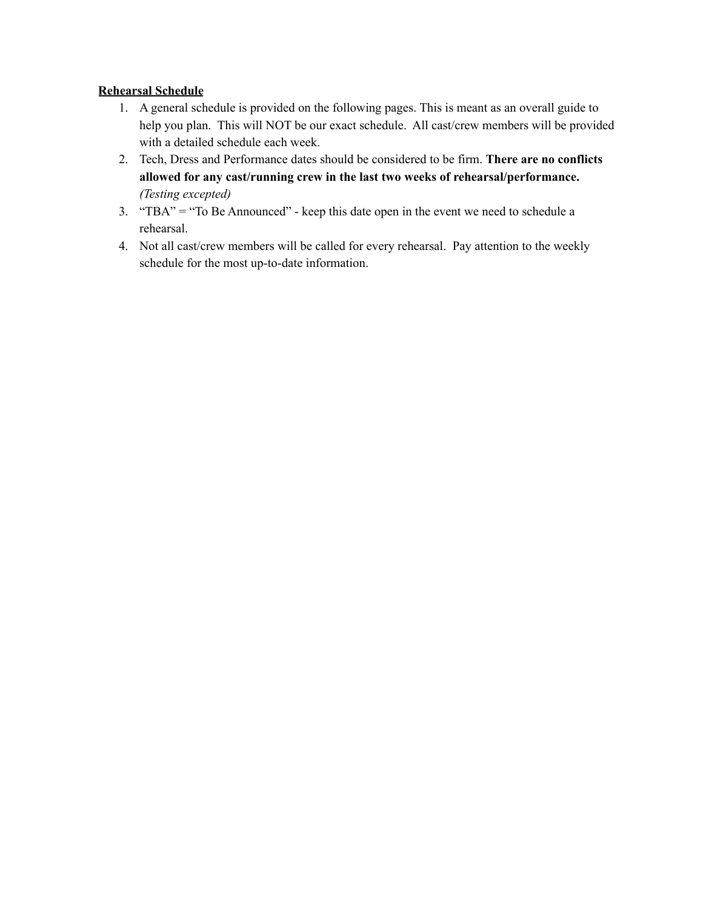#### **Rehearsal Schedule**

- 1. A general schedule is provided on the following pages. This is meant as an overall guide to help you plan. This will NOT be our exact schedule. All cast/crew members will be provided with a detailed schedule each week.
- 2. Tech, Dress and Performance dates should be considered to be firm. **There are no conflicts allowed for any cast/running crew in the last two weeks of rehearsal/performance.** *(Testing excepted)*
- 3. "TBA" = "To Be Announced" keep this date open in the event we need to schedule a rehearsal.
- 4. Not all cast/crew members will be called for every rehearsal. Pay attention to the weekly schedule for the most up-to-date information.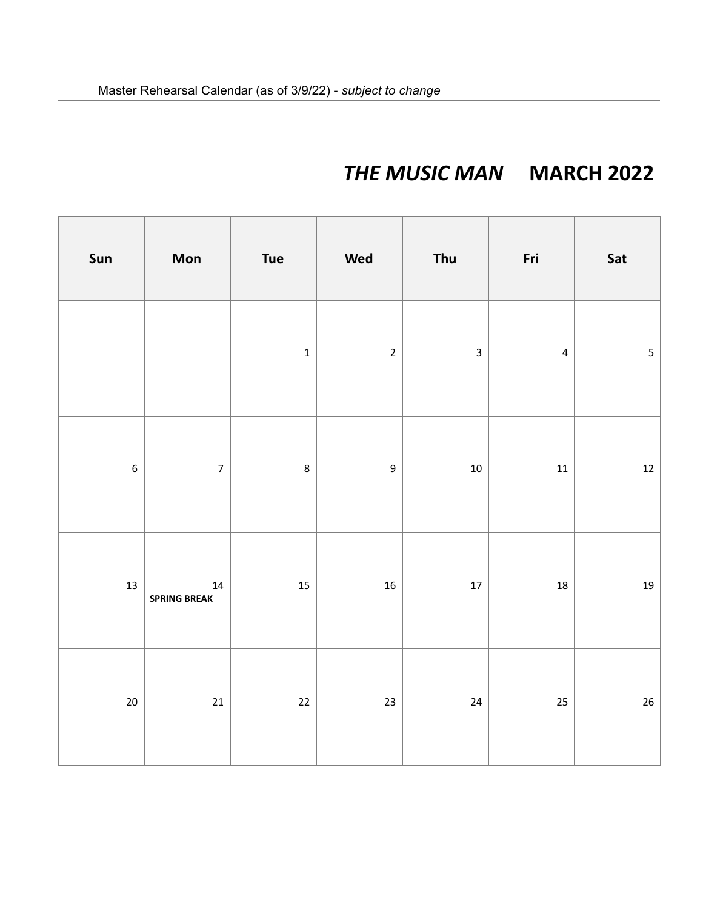# *THE MUSIC MAN* **MARCH 2022**

| Sun              | Mon                               | <b>Tue</b>  | Wed              | Thu                     | Fri            | Sat                     |
|------------------|-----------------------------------|-------------|------------------|-------------------------|----------------|-------------------------|
|                  |                                   | $\mathbf 1$ | $\overline{2}$   | $\overline{\mathbf{3}}$ | $\overline{4}$ | $\overline{\mathbf{5}}$ |
| $\boldsymbol{6}$ | $\overline{\mathbf{7}}$           | $\bf 8$     | $\boldsymbol{9}$ | $10\,$                  | $11\,$         | $12\,$                  |
| $13\,$           | ${\bf 14}$<br><b>SPRING BREAK</b> | 15          | ${\bf 16}$       | $17\,$                  | $18\,$         | $19\,$                  |
| $20\,$           | $21\,$                            | $22\,$      | $23\,$           | ${\bf 24}$              | 25             | $26\,$                  |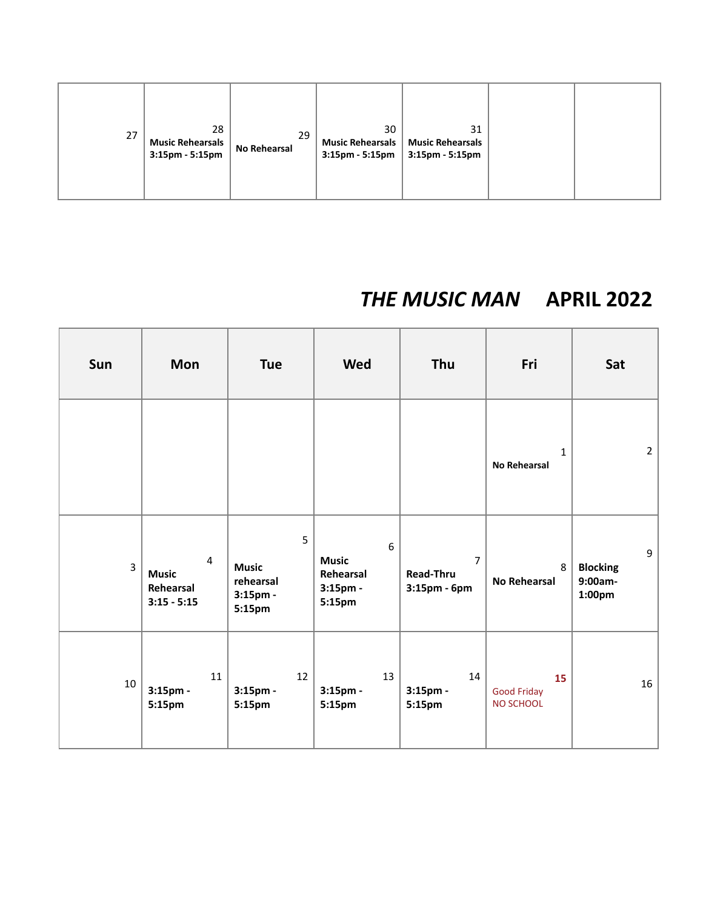| 27 | 28<br>Music Rehearsals<br>$3:15$ pm - 5:15pm | 29<br><b>No Rehearsal</b> | 30 | 31<br>Music Rehearsals   Music Rehearsals<br>$3:15 \text{pm} - 5:15 \text{pm}$ 3:15pm - 5:15pm |  |  |
|----|----------------------------------------------|---------------------------|----|------------------------------------------------------------------------------------------------|--|--|
|----|----------------------------------------------|---------------------------|----|------------------------------------------------------------------------------------------------|--|--|

## *THE MUSIC MAN* **APRIL 2022**

| Sun            | <b>Mon</b>                                                   | <b>Tue</b>                                           | Wed                                                               | Thu                                                | Fri                                   | Sat                                                   |
|----------------|--------------------------------------------------------------|------------------------------------------------------|-------------------------------------------------------------------|----------------------------------------------------|---------------------------------------|-------------------------------------------------------|
|                |                                                              |                                                      |                                                                   |                                                    | $\mathbf{1}$<br>No Rehearsal          | $2^{\circ}$                                           |
| $\overline{3}$ | $\overline{4}$<br><b>Music</b><br>Rehearsal<br>$3:15 - 5:15$ | 5<br><b>Music</b><br>rehearsal<br>3:15pm -<br>5:15pm | $6\phantom{a}$<br><b>Music</b><br>Rehearsal<br>3:15pm -<br>5:15pm | $\overline{7}$<br><b>Read-Thru</b><br>3:15pm - 6pm | 8<br><b>No Rehearsal</b>              | 9<br><b>Blocking</b><br>9:00am-<br>1:00 <sub>pm</sub> |
| 10             | 11<br>$3:15$ pm -<br>5:15pm                                  | 12<br>$3:15$ pm -<br>5:15pm                          | 13<br>3:15pm -<br>5:15pm                                          | 14<br>$3:15$ pm -<br>5:15pm                        | 15<br><b>Good Friday</b><br>NO SCHOOL | 16                                                    |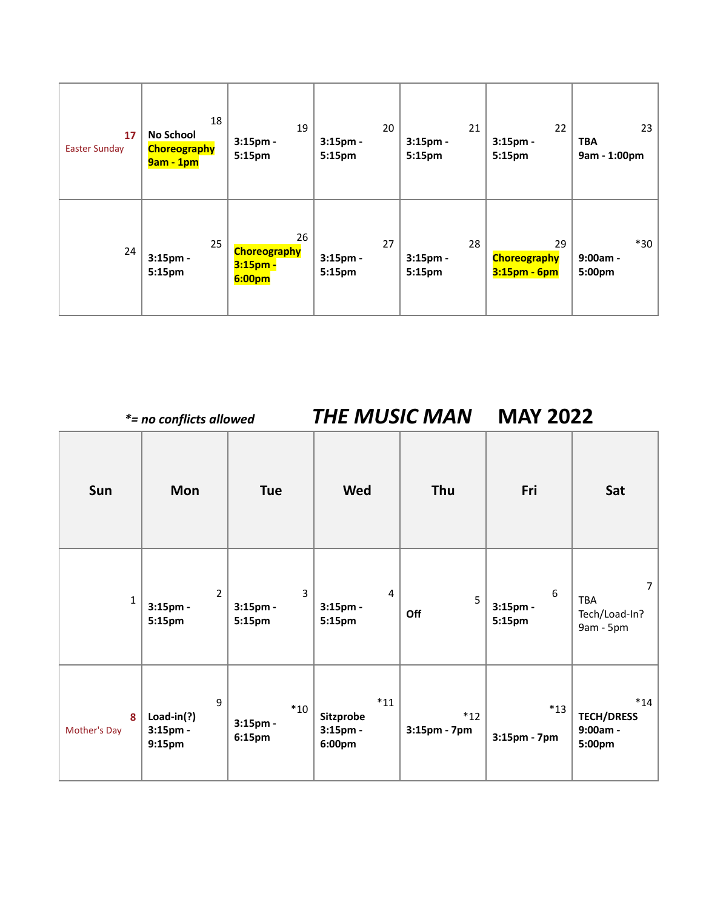| 17<br><b>Easter Sunday</b> | 18<br><b>No School</b><br><b>Choreography</b><br>$9am - 1pm$ | 19<br>$3:15$ pm -<br>5:15pm                                           | 20<br>$3:15$ pm -<br>5:15pm | 21<br>$3:15$ pm -<br>5:15pm | 22<br>$3:15$ pm -<br>5:15pm               | 23<br><b>TBA</b><br>9am - 1:00pm |
|----------------------------|--------------------------------------------------------------|-----------------------------------------------------------------------|-----------------------------|-----------------------------|-------------------------------------------|----------------------------------|
| 24                         | 25<br>3:15pm -<br>5:15pm                                     | 26<br><b>Choreography</b><br>3:15 <sub>pm</sub><br>6:00 <sub>pm</sub> | 27<br>$3:15$ pm -<br>5:15pm | 28<br>$3:15$ pm -<br>5:15pm | 29<br><b>Choreography</b><br>3:15pm - 6pm | $*30$<br>$9:00am -$<br>5:00pm    |

*\*= no conflicts allowed THE MUSIC MAN* **MAY 2022** ⊤

٦

Г

| Sun               | Mon                                        | <b>Tue</b>                           | <b>Wed</b>                               | Thu                   | Fri                            | Sat                                                 |
|-------------------|--------------------------------------------|--------------------------------------|------------------------------------------|-----------------------|--------------------------------|-----------------------------------------------------|
| $\mathbf{1}$      | $\overline{2}$<br>$3:15$ pm -<br>5:15pm    | $\overline{3}$<br>3:15pm -<br>5:15pm | $\overline{4}$<br>$3:15$ pm -<br>5:15pm  | 5<br>Off              | $6\,$<br>$3:15$ pm -<br>5:15pm | $\overline{7}$<br>TBA<br>Tech/Load-In?<br>9am - 5pm |
| 8<br>Mother's Day | 9<br>$Load-in(?)$<br>$3:15$ pm -<br>9:15pm | $*10$<br>$3:15$ pm -<br>6:15pm       | $*11$<br>Sitzprobe<br>3:15pm -<br>6:00pm | $*12$<br>3:15pm - 7pm | $*13$<br>3:15pm - 7pm          | $*14$<br><b>TECH/DRESS</b><br>9:00am -<br>5:00pm    |